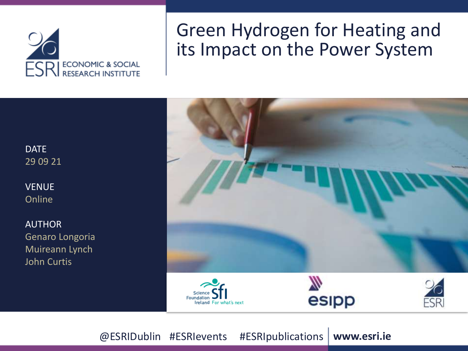

### Green Hydrogen for Heating and its Impact on the Power System

**DATE** 29 09 21

VENUE Online

AUTHOR Genaro Longoria Muireann Lynch John Curtis



@ESRIDublin #ESRIevents #ESRIpublications | www.esri.ie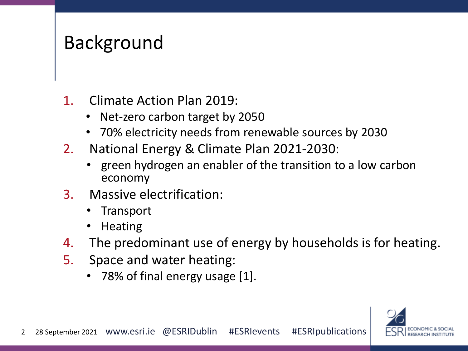### Background

- 1. Climate Action Plan 2019:
	- Net-zero carbon target by 2050
	- 70% electricity needs from renewable sources by 2030
- 2. National Energy & Climate Plan 2021-2030:
	- green hydrogen an enabler of the transition to a low carbon economy
- 3. Massive electrification:
	- Transport
	- Heating
- 4. The predominant use of energy by households is for heating.
- 5. Space and water heating:
	- 78% of final energy usage [1].

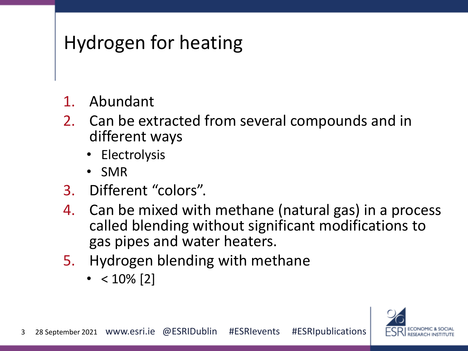# Hydrogen for heating

- 1. Abundant
- 2. Can be extracted from several compounds and in different ways
	- Electrolysis
	- SMR
- 3. Different "colors".
- 4. Can be mixed with methane (natural gas) in a process called blending without significant modifications to gas pipes and water heaters.
- 5. Hydrogen blending with methane
	- $< 10\%$  [2]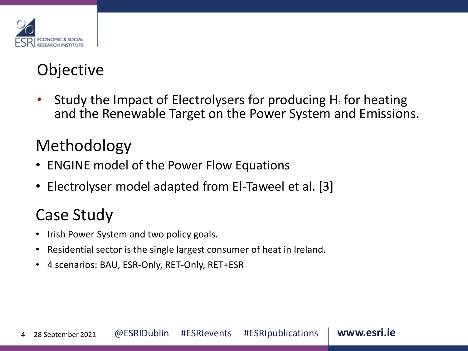

### **Objective**

Study the Impact of Electrolysers for producing  $H_2$  for heating and the Renewable Target on the Power System and Emissions.

### Methodology

- ENGINE model of the Power Flow Equations
- Electrolyser model adapted from El-Taweel et al. [3]

### Case Study

- Irish Power System and two policy goals.
- Residential sector is the single largest consumer of heat in Ireland.
- 4 scenarios: BAU, ESR-Only, RET-Only, RET+ESR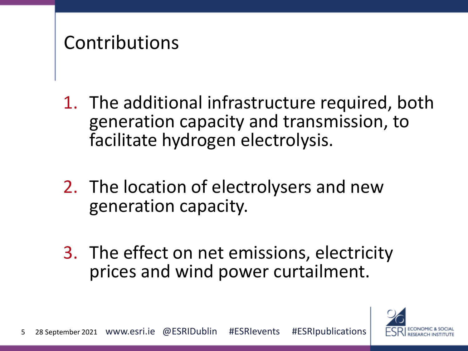## Contributions

- 1. The additional infrastructure required, both generation capacity and transmission, to facilitate hydrogen electrolysis.
- 2. The location of electrolysers and new generation capacity.
- 3. The effect on net emissions, electricity prices and wind power curtailment.

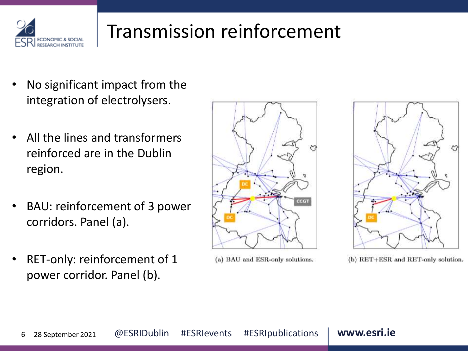

# Transmission reinforcement

- No significant impact from the integration of electrolysers.
- All the lines and transformers reinforced are in the Dublin region.
- BAU: reinforcement of 3 power corridors. Panel (a).
- RET-only: reinforcement of 1 power corridor. Panel (b).



(a) BAU and ESR-only solutions.



(b) RET+ESR and RET-only solution.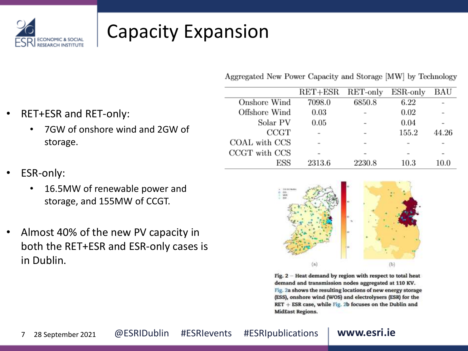

# Capacity Expansion

Aggregated New Power Capacity and Storage [MW] by Technology

|               | $RET + ESR$ | RET-only | $ESR$ -only | BAU   |
|---------------|-------------|----------|-------------|-------|
| Onshore Wind  | 7098.0      | 6850.8   | 6.22        |       |
| Offshore Wind | 0.03        |          | 0.02        |       |
| Solar PV      | 0.05        |          | 0.04        |       |
| CCGT          |             |          | 155.2       | 44.26 |
| COAL with CCS |             |          |             |       |
| CCGT with CCS |             |          |             |       |
| ESS           | 2313.6      | 2230.8   | $10.3\,$    | 10.0  |



• RET+ESR and RET-only:

- ESR-only:
	- 16.5MW of renewable power and storage, and 155MW of CCGT.
- Almost 40% of the new PV capacity in both the RET+ESR and ESR-only cases is in Dublin.



Fig.  $2$  – Heat demand by region with respect to total heat demand and transmission nodes aggregated at 110 KV. Fig. 2a shows the resulting locations of new energy storage (ESS), onshore wind (WOS) and electrolysers (ESR) for the  $RET + ESR$  case, while Fig. 2b focuses on the Dublin and **MidEast Regions.**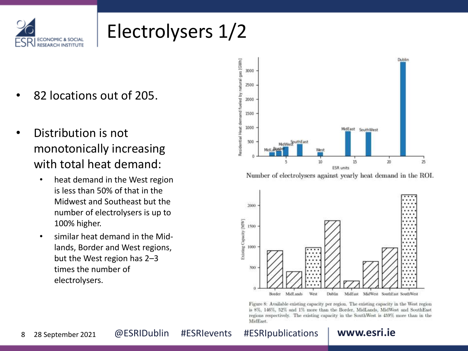

# Electrolysers 1/2

- 82 locations out of 205.
- Distribution is not monotonically increasing with total heat demand:
	- heat demand in the West region is less than 50% of that in the Midwest and Southeast but the number of electrolysers is up to 100% higher.
	- similar heat demand in the Midlands, Border and West regions, but the West region has 2–3 times the number of electrolysers.



Number of electrolysers against yearly heat demand in the ROI.



Figure 8: Available existing capacity per region. The existing capacity in the West region is 8%, 146%, 52% and 1% more than the Border, MidLands, MidWest and SouthEast regions respectively. The existing capacity in the SouthWest is 459% more than in the MidEast.

8 28 September 2021 @ ESRIDublin #ESRIevents #ESRIpublications **www.esri.ie**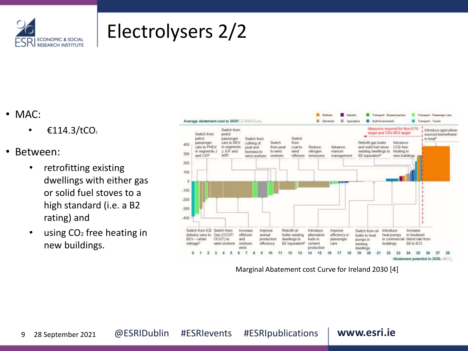

# Electrolysers 2/2

### • MAC:

- $\epsilon$ 114.3/tCO<sub>2</sub>
- Between:
	- retrofitting existing dwellings with either gas or solid fuel stoves to a high standard (i.e. a B2 rating) and
	- using CO<sub>2</sub> free heating in new buildings.



Marginal Abatement cost Curve for Ireland 2030 [4]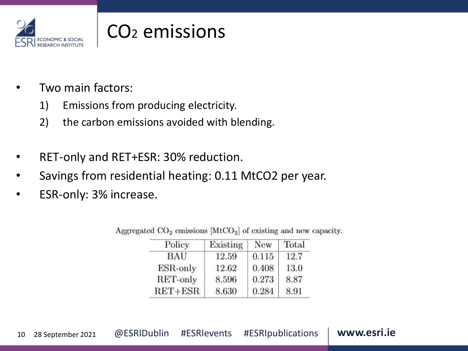

# CO<sup>2</sup> emissions

- Two main factors:
	- 1) Emissions from producing electricity.
	- 2) the carbon emissions avoided with blending.
- RET-only and RET+ESR: 30% reduction.
- Savings from residential heating: 0.11 MtCO2 per year.
- ESR-only: 3% increase.

| Policy      | Existing | <b>New</b> | Total |
|-------------|----------|------------|-------|
| BAU         | 12.59    | 0.115      | 12.7  |
| ESR-only    | 12.62    | 0.408      | 13.0  |
| RET-only    | 8.596    | 0.273      | 8.87  |
| $RET + ESR$ | 8.630    | 0.284      | 8.91  |

Aggregated  $CO<sub>2</sub>$  emissions [MtCO<sub>2</sub>] of existing and new capacity.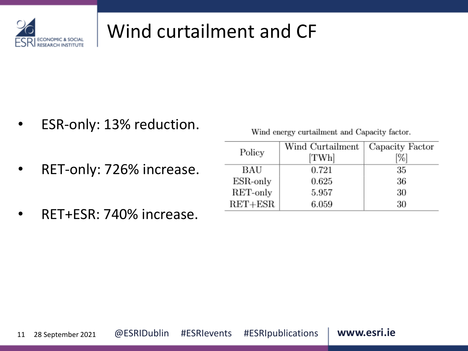

# Wind curtailment and CF

Policy

**BAU** 

 $ESR$ -only

RET-only

 $RET + ESR$ 

ESR-only: 13% reduction.

Wind energy curtailment and Capacity factor.

Capacity Factor

[%]

35

36

30

30

Wind Curtailment

[TWh]

0.721

0.625

5.957

6.059

- RET-only: 726% increase.
- RET+ESR: 740% increase.

|  | 11 28 September 2021 |  |  | @ESRIDublin #ESRIevents #ESRIpublications | www.esri.ie |
|--|----------------------|--|--|-------------------------------------------|-------------|
|--|----------------------|--|--|-------------------------------------------|-------------|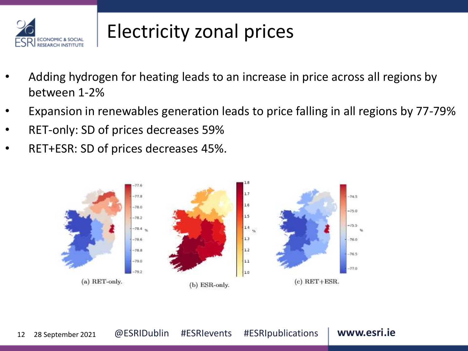

# Electricity zonal prices

- Adding hydrogen for heating leads to an increase in price across all regions by between 1-2%
- Expansion in renewables generation leads to price falling in all regions by 77-79%
- RET-only: SD of prices decreases 59%
- RET+ESR: SD of prices decreases 45%.

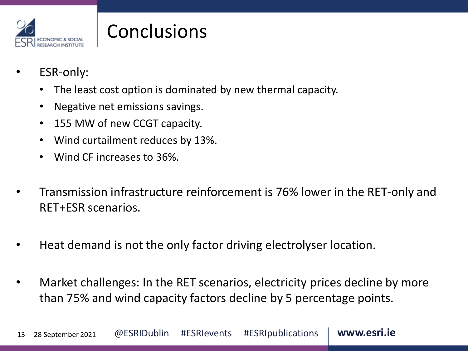

# **Conclusions**

- ESR-only:
	- The least cost option is dominated by new thermal capacity.
	- Negative net emissions savings.
	- 155 MW of new CCGT capacity.
	- Wind curtailment reduces by 13%.
	- Wind CF increases to 36%.
- Transmission infrastructure reinforcement is 76% lower in the RET-only and RET+ESR scenarios.
- Heat demand is not the only factor driving electrolyser location.
- Market challenges: In the RET scenarios, electricity prices decline by more than 75% and wind capacity factors decline by 5 percentage points.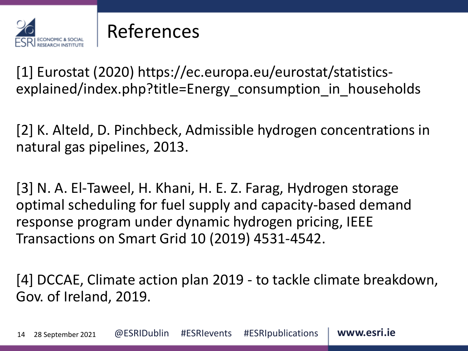

### References

[1] Eurostat (2020) https://ec.europa.eu/eurostat/statisticsexplained/index.php?title=Energy consumption in households

[2] K. Alteld, D. Pinchbeck, Admissible hydrogen concentrations in natural gas pipelines, 2013.

[3] N. A. El-Taweel, H. Khani, H. E. Z. Farag, Hydrogen storage optimal scheduling for fuel supply and capacity-based demand response program under dynamic hydrogen pricing, IEEE Transactions on Smart Grid 10 (2019) 4531-4542.

[4] DCCAE, Climate action plan 2019 - to tackle climate breakdown, Gov. of Ireland, 2019.